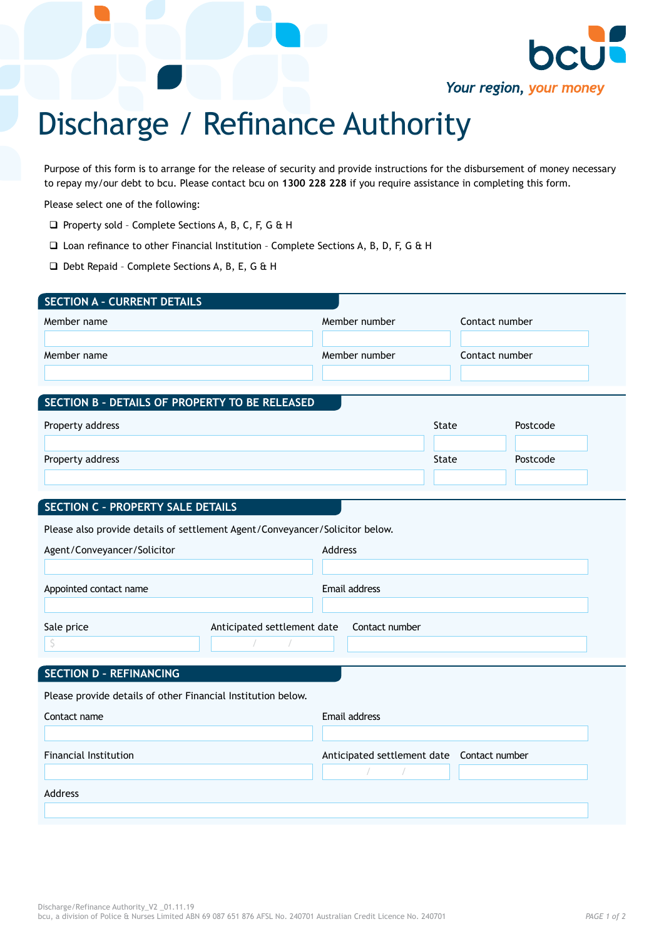

Purpose of this form is to arrange for the release of security and provide instructions for the disbursement of money necessary to repay my/our debt to bcu. Please contact bcu on **1300 228 228** if you require assistance in completing this form.

Your region, your money

Please select one of the following:

- □ Property sold Complete Sections A, B, C, F, G & H
- $\square$  Loan refinance to other Financial Institution Complete Sections A, B, D, F, G & H
- q Debt Repaid Complete Sections A, B, E, G & H

| <b>SECTION A - CURRENT DETAILS</b>                                           |                                 |       |                |  |  |  |
|------------------------------------------------------------------------------|---------------------------------|-------|----------------|--|--|--|
| Member name                                                                  | Member number                   |       | Contact number |  |  |  |
|                                                                              |                                 |       |                |  |  |  |
| Member name                                                                  | Member number<br>Contact number |       |                |  |  |  |
|                                                                              |                                 |       |                |  |  |  |
| SECTION B - DETAILS OF PROPERTY TO BE RELEASED                               |                                 |       |                |  |  |  |
| Property address                                                             |                                 | State | Postcode       |  |  |  |
|                                                                              |                                 |       |                |  |  |  |
| Property address                                                             |                                 | State | Postcode       |  |  |  |
|                                                                              |                                 |       |                |  |  |  |
| <b>SECTION C - PROPERTY SALE DETAILS</b>                                     |                                 |       |                |  |  |  |
|                                                                              |                                 |       |                |  |  |  |
| Please also provide details of settlement Agent/Conveyancer/Solicitor below. |                                 |       |                |  |  |  |
| Agent/Conveyancer/Solicitor                                                  | Address                         |       |                |  |  |  |
|                                                                              |                                 |       |                |  |  |  |
| Appointed contact name                                                       | Email address                   |       |                |  |  |  |
|                                                                              |                                 |       |                |  |  |  |
| Sale price<br>Anticipated settlement date<br>\$                              | Contact number                  |       |                |  |  |  |
|                                                                              |                                 |       |                |  |  |  |
| <b>SECTION D - REFINANCING</b>                                               |                                 |       |                |  |  |  |
| Please provide details of other Financial Institution below.                 |                                 |       |                |  |  |  |
| Contact name                                                                 | Email address                   |       |                |  |  |  |
|                                                                              |                                 |       |                |  |  |  |
| <b>Financial Institution</b>                                                 | Anticipated settlement date     |       | Contact number |  |  |  |
|                                                                              |                                 |       |                |  |  |  |
| Address                                                                      |                                 |       |                |  |  |  |
|                                                                              |                                 |       |                |  |  |  |